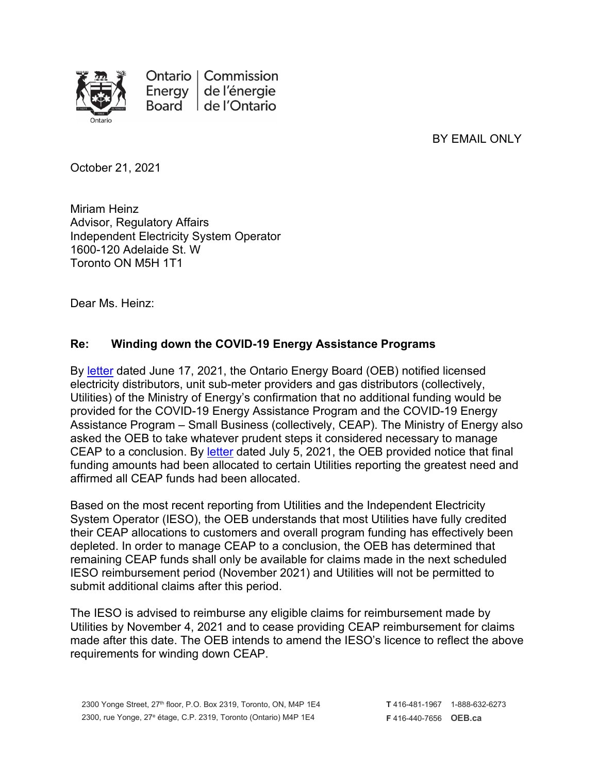

BY EMAIL ONLY

October 21, 2021

Miriam Heinz Advisor, Regulatory Affairs Independent Electricity System Operator 1600-120 Adelaide St. W Toronto ON M5H 1T1

Dear Ms. Heinz:

## **Re: Winding down the COVID-19 Energy Assistance Programs**

By [letter](https://www.oeb.ca/sites/default/files/OEB-ltr-Update-CEAP-Funding-20210617.pdf) dated June 17, 2021, the Ontario Energy Board (OEB) notified licensed electricity distributors, unit sub-meter providers and gas distributors (collectively, Utilities) of the Ministry of Energy's confirmation that no additional funding would be provided for the COVID-19 Energy Assistance Program and the COVID-19 Energy Assistance Program – Small Business (collectively, CEAP). The Ministry of Energy also asked the OEB to take whatever prudent steps it considered necessary to manage CEAP to a conclusion. By [letter](https://www.oeb.ca/sites/default/files/OEBltr-Final-CEAP-Allocation-20210705.pdf) dated July 5, 2021, the OEB provided notice that final funding amounts had been allocated to certain Utilities reporting the greatest need and affirmed all CEAP funds had been allocated.

Based on the most recent reporting from Utilities and the Independent Electricity System Operator (IESO), the OEB understands that most Utilities have fully credited their CEAP allocations to customers and overall program funding has effectively been depleted. In order to manage CEAP to a conclusion, the OEB has determined that remaining CEAP funds shall only be available for claims made in the next scheduled IESO reimbursement period (November 2021) and Utilities will not be permitted to submit additional claims after this period.

The IESO is advised to reimburse any eligible claims for reimbursement made by Utilities by November 4, 2021 and to cease providing CEAP reimbursement for claims made after this date. The OEB intends to amend the IESO's licence to reflect the above requirements for winding down CEAP.